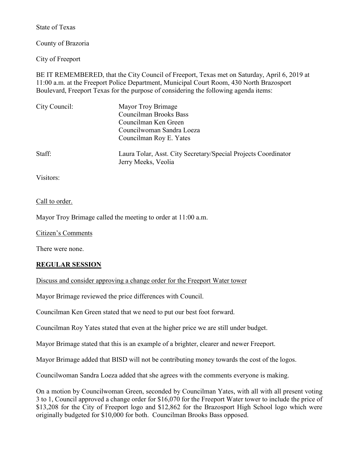State of Texas

County of Brazoria

City of Freeport

BE IT REMEMBERED, that the City Council of Freeport, Texas met on Saturday, April 6, 2019 at 11:00 a.m. at the Freeport Police Department, Municipal Court Room, 430 North Brazosport Boulevard, Freeport Texas for the purpose of considering the following agenda items:

| City Council: | Mayor Troy Brimage                                                                    |
|---------------|---------------------------------------------------------------------------------------|
|               | <b>Councilman Brooks Bass</b>                                                         |
|               | Councilman Ken Green                                                                  |
|               | Councilwoman Sandra Loeza                                                             |
|               | Councilman Roy E. Yates                                                               |
| Staff:        | Laura Tolar, Asst. City Secretary/Special Projects Coordinator<br>Jerry Meeks, Veolia |
|               |                                                                                       |

Visitors:

Call to order.

Mayor Troy Brimage called the meeting to order at 11:00 a.m.

Citizen's Comments

There were none.

## **REGULAR SESSION**

Discuss and consider approving a change order for the Freeport Water tower

Mayor Brimage reviewed the price differences with Council.

Councilman Ken Green stated that we need to put our best foot forward.

Councilman Roy Yates stated that even at the higher price we are still under budget.

Mayor Brimage stated that this is an example of a brighter, clearer and newer Freeport.

Mayor Brimage added that BISD will not be contributing money towards the cost of the logos.

Councilwoman Sandra Loeza added that she agrees with the comments everyone is making.

On a motion by Councilwoman Green, seconded by Councilman Yates, with all with all present voting 3 to 1, Council approved a change order for \$16,070 for the Freeport Water tower to include the price of \$13,208 for the City of Freeport logo and \$12,862 for the Brazosport High School logo which were originally budgeted for \$10,000 for both. Councilman Brooks Bass opposed.